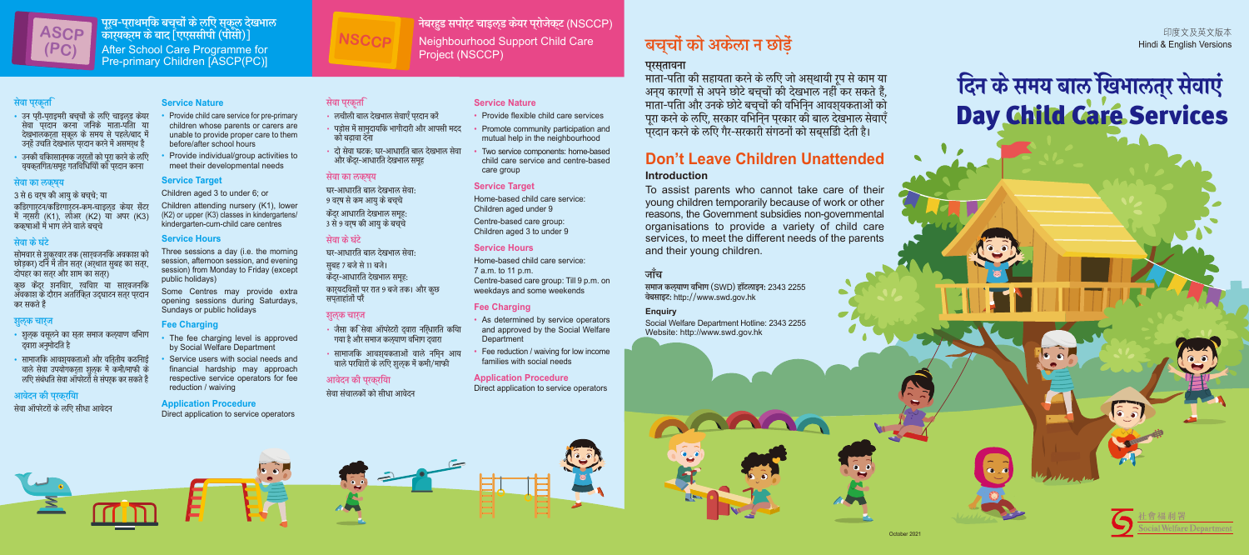पूर्व-प्राथमांक बच्चों के लाए स्कूल देखभाल कार्यक्रम के बाद [एएससीपी (पीसी)] After School Care Programme for Pre-primary Children [ASCP(PC)]

#### सेवा प्रकृति

- उन परी-पराइमरी बचचों के लएि चाइलड केयर सवा पुरदान करना जानक माता-पाता या देखभालकरता सकल के समय से पहले/बाद में उन्ह उचात दखभाल प्*रदान करन म असमर्*थ ह
- उनको वृकिासात्मक जुरूरतो को पूरा करने के लोए व्यक्तागत/समूह गतावाधाया का प्रदान करना

#### सेवा का लक्ष्य

3 से 6 वर्ष को आयु के बच्चे; या

कडिरगारटन/कडिरगारटन-कम-चाडलड केयर सेंटर म नर्सरा (K1), लाअर (K2) या अपर (K3) कक्षाआ म भाग लन वाल बच्च

#### सेवा केघंटे

सोमवार से शुकुरवार तक (सार्**वजनोक अवका**श को छाड़कर) दान म तान सत्र (अर्थात सुबह का सत्र, दोपहर का सतर और शाम का सतर)

कुछ कद्र शनोवार, खोवार या सारवजनोक अवकाश क् दारान अताराक्त उद्घाटन सत्र प्रदान कर सकते हैं

#### शुल्क चार्ज

- शुलूक वसूलने का सूतर समाज कल्र्याण वोभाग द्वारा अनुमादात ह
- सामाजीक आवश्यकताओं और वात्*तीय कठीनाई* वाल सेवा उपयोगकरता शुल्क में कर्मा/माफो के लाए संबंधात सवा आपस्टरा से सपर्क कर सकते ह

#### आवेदन की प्रक्रिया

सेवा आपस्टरों के लोए सोधा आवेदन

#### **Service Nature**

- Provide child care service for pre-primary children whose parents or carers are unable to provide proper care to them before/after school hours
- Provide individual/group activities to meet their developmental needs

#### **Service Target**

#### Children aged 3 to under 6; or

- Provide flexible child care services
- Promote community participation and mutual help in the neighbourhood
- Two service components: home-based child care service and centre-based care group

Children attending nursery (K1), lower (K2) or upper (K3) classes in kindergartens/ kindergarten-cum-child care centres

#### **Service Hours**

Three sessions a day (i.e. the morning session, afternoon session, and evening session) from Monday to Friday (except public holidays)

- As determined by service operators and approved by the Social Welfare **Department**
- Fee reduction / waiving for low income families with social needs

Some Centres may provide extra opening sessions during Saturdays, Sundays or public holidays

#### **Fee Charging**

- The fee charging level is approved by Social Welfare Department
- Service users with social needs and financial hardship may approach respective service operators for fee reduction / waiving

#### **Application Procedure**

Direct application to service operators

नेबरहुड सपोर्ट चाइल्ड केयर प्रोजेक्ट (NSCCP)

Neighbourhood Support Child Care

Project (NSCCP)

### सेवा प्रकृति

# दिन के समय बाल खिभालतुर सेवाएं Day Child Care Services

#### सेवा का लक्ष्य

घर-आधारात बाल दखभाल सवा: 9 वर्ष स कम आयु क बच्च केंदर आधारति देखभाल समह 3 स 9 वर्ष का आयु क बच्च

#### सेवा के घंटे

घर-आधारात बाल दखभाल सवा: सबह 7 बजे से 11 बजे। केंदर-आधारति देखभाल समद्र $\cdot$ कार्यदावसा पर रात 9 बज तक। आर कुछ सपताहांतों परैं

#### शुल्क चार्ज

- जसा का सवा आपरटरा द्वारा नार्धारात काया गया है आर समाज कल्\याण वाभाग द्वारा
- सामाजाक आवश्यकताओं वाल नामून आय वाले परोवारों के लोए शुल्क में कमो/माफो

#### आवेदन की प्रक्रिया

सेवा संचालको को सोधा आवेदन

#### **Service Nature**

#### **Service Target**

Home-based child care service: Children aged under 9 Centre-based care group: Children aged 3 to under 9

#### **Service Hours**

Home-based child care service: 7 a.m. to 11 p.m. Centre-based care group: Till 9 p.m. on weekdays and some weekends

#### **Fee Charging**

#### **Application Procedure**

Direct application to service operators

**NSCCP**

- लचाला बाल दखभाल सवाएँ प्**रदान** कर
- पडोस में सामदायकि भागीदारी और आपसी मदद का बढ़ावा दना
- दा सवा घटक: घर-आधारात बाल दखभाल सवा ्<br>और केंदर-आधारति देखभाल समह



# बच्चों को अकेला न छोड़ें

### प्रस्तावना

माता-पीता को सहायता करने के लोए जो अस्थायों रूप से काम या अन्य कारणा से अपने छाट बच्चा का देखभाल नहां कर सकते हैं, माता-पाता और उनके छोटे बच्ची की वोभीनून आवश्यकताओं का पूरा करने के लोए, सरकार वोभान्न प्रकार को बाल देखभाल सेवाएँ परदान करने के लुएि गैर-सरकारी संगठनों को सबसड़ीि देती है।

# **Don't Leave Children Unattended**

#### **Introduction**

To assist parents who cannot take care of their young children temporarily because of work or other reasons, the Government subsidies non-governmental organisations to provide a variety of child care services, to meet the different needs of the parents and their young children.

印度文及英文版本 Hindi & English Versions

### जाँच

समाज कल्याण विभाग (SWD) हॉटलाइन: 2343 2255 वेबसाइट: http://www.swd.gov.hk

#### **Enquiry**

Social Welfare Department Hotline: 2343 2255 Website: http://www.swd.gov.hk